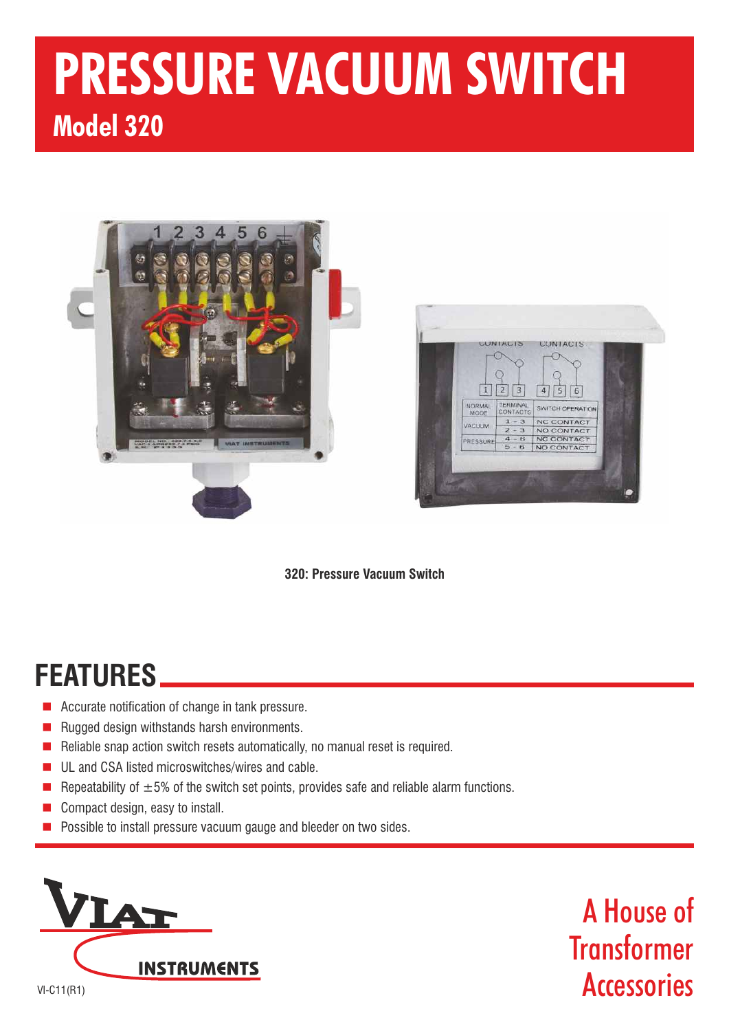# **PRESSURE VACUUM SWITCH Model 320**





**320: Pressure Vacuum Switch**

## **FEATURES**

- $\blacksquare$  Accurate notification of change in tank pressure.
- n Rugged design withstands harsh environments.
- n Reliable snap action switch resets automatically, no manual reset is required.
- n UL and CSA listed microswitches/wires and cable.
- n Repeatability of  $\pm 5$ % of the switch set points, provides safe and reliable alarm functions.
- n Compact design, easy to install.
- n Possible to install pressure vacuum gauge and bleeder on two sides.



A House of **Transformer Accessories**